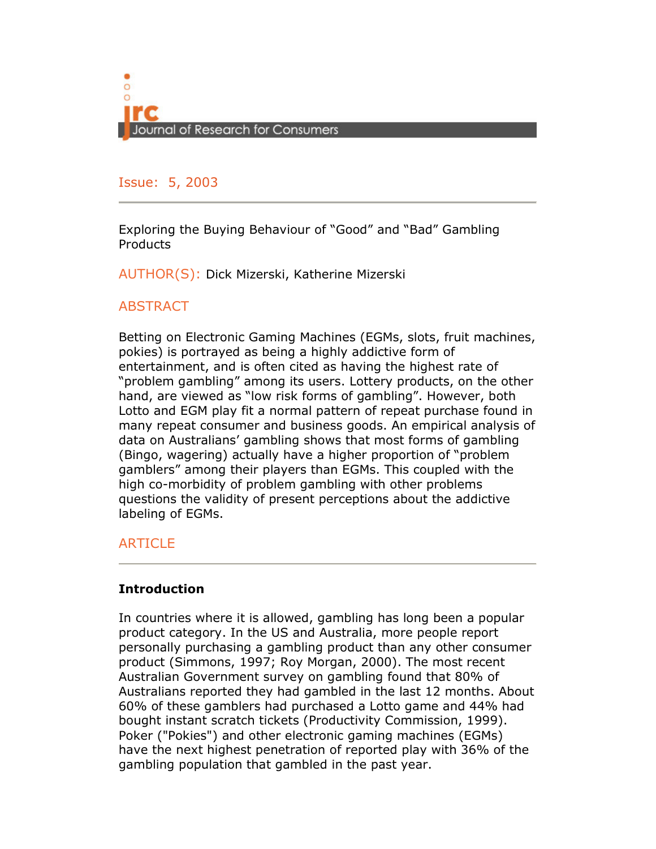

#### Issue: 5, 2005 Issue: 5, 2003

Exploring the Buying Behaviour of "Good" and "Bad" Gambling **Products** 

AUTHOR(S): Dick Mizerski, Katherine Mizerski

## **ABSTRACT**

Betting on Electronic Gaming Machines (EGMs, slots, fruit machines, pokies) is portrayed as being a highly addictive form of entertainment, and is often cited as having the highest rate of "problem gambling" among its users. Lottery products, on the other hand, are viewed as "low risk forms of gambling". However, both Lotto and EGM play fit a normal pattern of repeat purchase found in many repeat consumer and business goods. An empirical analysis of data on Australians' gambling shows that most forms of gambling (Bingo, wagering) actually have a higher proportion of "problem gamblers" among their players than EGMs. This coupled with the high co-morbidity of problem gambling with other problems questions the validity of present perceptions about the addictive labeling of EGMs.

## ARTICLE

## Introduction

In countries where it is allowed, gambling has long been a popular product category. In the US and Australia, more people report personally purchasing a gambling product than any other consumer product (Simmons, 1997; Roy Morgan, 2000). The most recent Australian Government survey on gambling found that 80% of Australians reported they had gambled in the last 12 months. About 60% of these gamblers had purchased a Lotto game and 44% had bought instant scratch tickets (Productivity Commission, 1999). Poker ("Pokies") and other electronic gaming machines (EGMs) have the next highest penetration of reported play with 36% of the gambling population that gambled in the past year.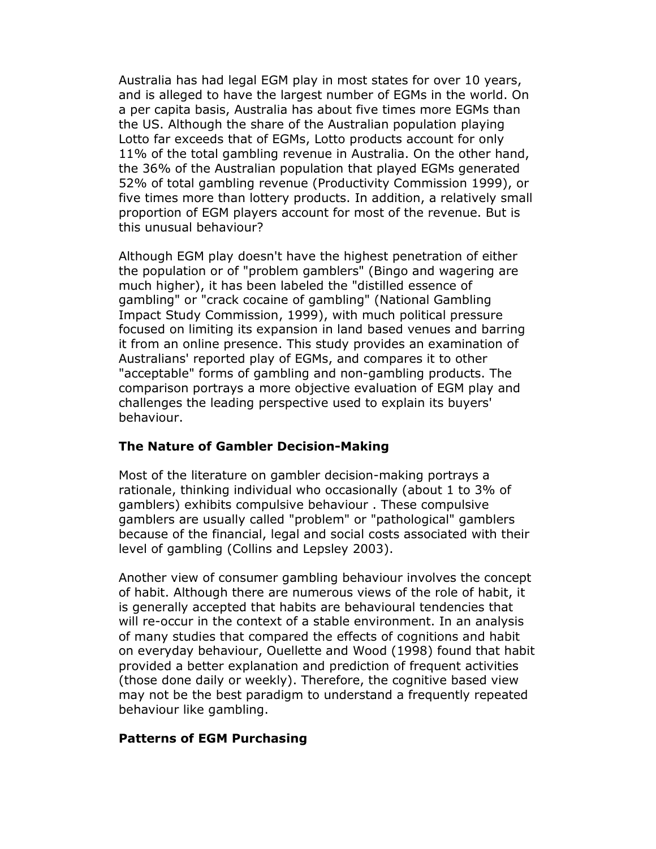Australia has had legal EGM play in most states for over 10 years, and is alleged to have the largest number of EGMs in the world. On a per capita basis, Australia has about five times more EGMs than the US. Although the share of the Australian population playing Lotto far exceeds that of EGMs, Lotto products account for only 11% of the total gambling revenue in Australia. On the other hand, the 36% of the Australian population that played EGMs generated 52% of total gambling revenue (Productivity Commission 1999), or five times more than lottery products. In addition, a relatively small proportion of EGM players account for most of the revenue. But is this unusual behaviour?

Although EGM play doesn't have the highest penetration of either the population or of "problem gamblers" (Bingo and wagering are much higher), it has been labeled the "distilled essence of gambling" or "crack cocaine of gambling" (National Gambling Impact Study Commission, 1999), with much political pressure focused on limiting its expansion in land based venues and barring it from an online presence. This study provides an examination of Australians' reported play of EGMs, and compares it to other "acceptable" forms of gambling and non-gambling products. The comparison portrays a more objective evaluation of EGM play and challenges the leading perspective used to explain its buyers' behaviour.

## The Nature of Gambler Decision-Making

Most of the literature on gambler decision-making portrays a rationale, thinking individual who occasionally (about 1 to 3% of gamblers) exhibits compulsive behaviour . These compulsive gamblers are usually called "problem" or "pathological" gamblers because of the financial, legal and social costs associated with their level of gambling (Collins and Lepsley 2003).

Another view of consumer gambling behaviour involves the concept of habit. Although there are numerous views of the role of habit, it is generally accepted that habits are behavioural tendencies that will re-occur in the context of a stable environment. In an analysis of many studies that compared the effects of cognitions and habit on everyday behaviour, Ouellette and Wood (1998) found that habit provided a better explanation and prediction of frequent activities (those done daily or weekly). Therefore, the cognitive based view may not be the best paradigm to understand a frequently repeated behaviour like gambling.

#### Patterns of EGM Purchasing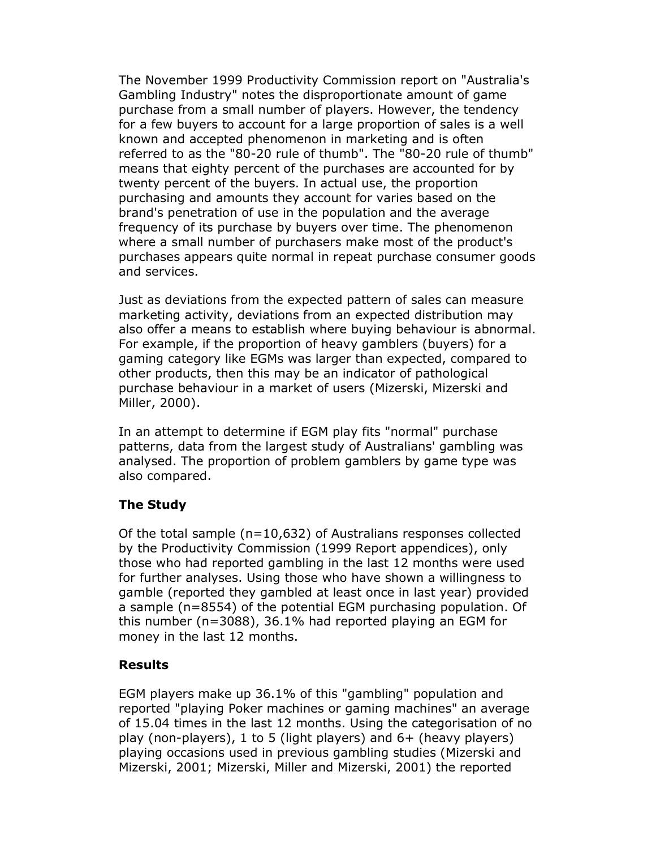The November 1999 Productivity Commission report on "Australia's Gambling Industry" notes the disproportionate amount of game purchase from a small number of players. However, the tendency for a few buyers to account for a large proportion of sales is a well known and accepted phenomenon in marketing and is often referred to as the "80-20 rule of thumb". The "80-20 rule of thumb" means that eighty percent of the purchases are accounted for by twenty percent of the buyers. In actual use, the proportion purchasing and amounts they account for varies based on the brand's penetration of use in the population and the average frequency of its purchase by buyers over time. The phenomenon where a small number of purchasers make most of the product's purchases appears quite normal in repeat purchase consumer goods and services.

Just as deviations from the expected pattern of sales can measure marketing activity, deviations from an expected distribution may also offer a means to establish where buying behaviour is abnormal. For example, if the proportion of heavy gamblers (buyers) for a gaming category like EGMs was larger than expected, compared to other products, then this may be an indicator of pathological purchase behaviour in a market of users (Mizerski, Mizerski and Miller, 2000).

In an attempt to determine if EGM play fits "normal" purchase patterns, data from the largest study of Australians' gambling was analysed. The proportion of problem gamblers by game type was also compared.

## The Study

Of the total sample  $(n=10,632)$  of Australians responses collected by the Productivity Commission (1999 Report appendices), only those who had reported gambling in the last 12 months were used for further analyses. Using those who have shown a willingness to gamble (reported they gambled at least once in last year) provided a sample (n=8554) of the potential EGM purchasing population. Of this number (n=3088), 36.1% had reported playing an EGM for money in the last 12 months.

## Results

EGM players make up 36.1% of this "gambling" population and reported "playing Poker machines or gaming machines" an average of 15.04 times in the last 12 months. Using the categorisation of no play (non-players), 1 to 5 (light players) and 6+ (heavy players) playing occasions used in previous gambling studies (Mizerski and Mizerski, 2001; Mizerski, Miller and Mizerski, 2001) the reported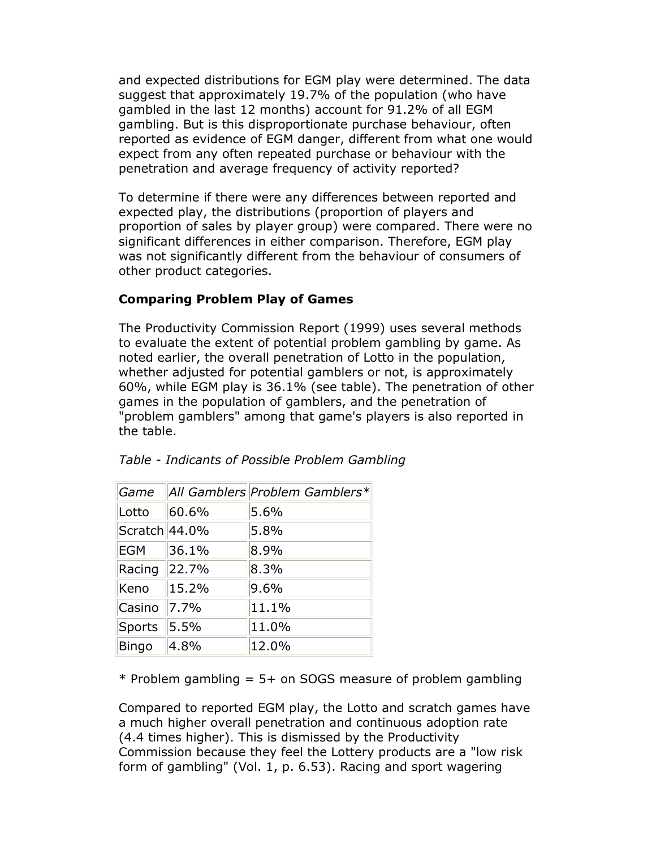and expected distributions for EGM play were determined. The data suggest that approximately 19.7% of the population (who have gambled in the last 12 months) account for 91.2% of all EGM gambling. But is this disproportionate purchase behaviour, often reported as evidence of EGM danger, different from what one would expect from any often repeated purchase or behaviour with the penetration and average frequency of activity reported?

To determine if there were any differences between reported and expected play, the distributions (proportion of players and proportion of sales by player group) were compared. There were no significant differences in either comparison. Therefore, EGM play was not significantly different from the behaviour of consumers of other product categories.

#### Comparing Problem Play of Games

The Productivity Commission Report (1999) uses several methods to evaluate the extent of potential problem gambling by game. As noted earlier, the overall penetration of Lotto in the population, whether adjusted for potential gamblers or not, is approximately 60%, while EGM play is 36.1% (see table). The penetration of other games in the population of gamblers, and the penetration of "problem gamblers" among that game's players is also reported in the table.

| Game          |       | All Gamblers Problem Gamblers* |
|---------------|-------|--------------------------------|
| Lotto         | 60.6% | 5.6%                           |
| Scratch 44.0% |       | 5.8%                           |
| <b>EGM</b>    | 36.1% | 8.9%                           |
| Racing        | 22.7% | 8.3%                           |
| Keno          | 15.2% | 9.6%                           |
| Casino        | 7.7%  | 11.1%                          |
| <b>Sports</b> | 5.5%  | 11.0%                          |
| Bingo         | 4.8%  | 12.0%                          |

Table - Indicants of Possible Problem Gambling

 $*$  Problem gambling = 5+ on SOGS measure of problem gambling

Compared to reported EGM play, the Lotto and scratch games have a much higher overall penetration and continuous adoption rate (4.4 times higher). This is dismissed by the Productivity Commission because they feel the Lottery products are a "low risk form of gambling" (Vol. 1, p. 6.53). Racing and sport wagering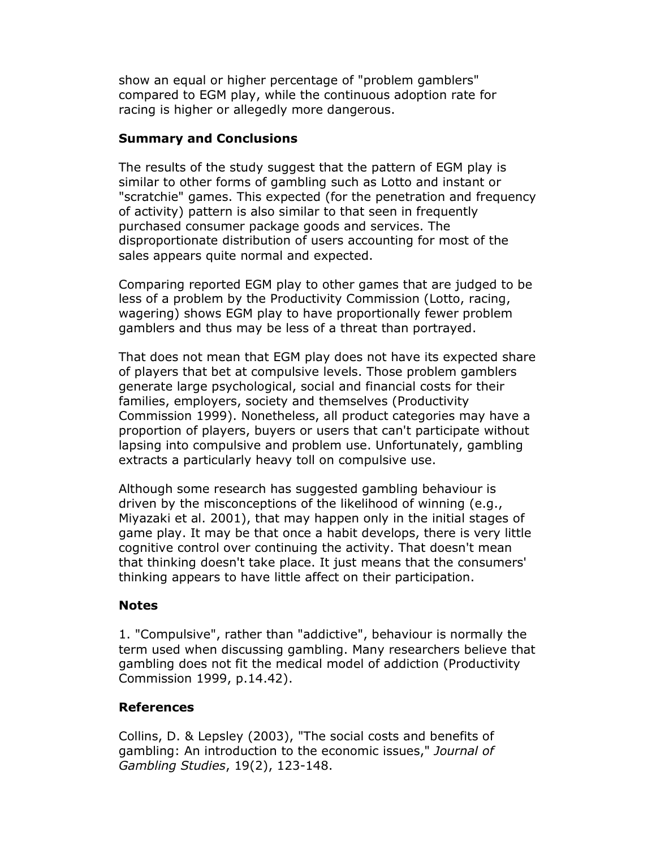show an equal or higher percentage of "problem gamblers" compared to EGM play, while the continuous adoption rate for racing is higher or allegedly more dangerous.

## Summary and Conclusions

The results of the study suggest that the pattern of EGM play is similar to other forms of gambling such as Lotto and instant or "scratchie" games. This expected (for the penetration and frequency of activity) pattern is also similar to that seen in frequently purchased consumer package goods and services. The disproportionate distribution of users accounting for most of the sales appears quite normal and expected.

Comparing reported EGM play to other games that are judged to be less of a problem by the Productivity Commission (Lotto, racing, wagering) shows EGM play to have proportionally fewer problem gamblers and thus may be less of a threat than portrayed.

That does not mean that EGM play does not have its expected share of players that bet at compulsive levels. Those problem gamblers generate large psychological, social and financial costs for their families, employers, society and themselves (Productivity Commission 1999). Nonetheless, all product categories may have a proportion of players, buyers or users that can't participate without lapsing into compulsive and problem use. Unfortunately, gambling extracts a particularly heavy toll on compulsive use.

Although some research has suggested gambling behaviour is driven by the misconceptions of the likelihood of winning (e.g., Miyazaki et al. 2001), that may happen only in the initial stages of game play. It may be that once a habit develops, there is very little cognitive control over continuing the activity. That doesn't mean that thinking doesn't take place. It just means that the consumers' thinking appears to have little affect on their participation.

## **Notes**

1. "Compulsive", rather than "addictive", behaviour is normally the term used when discussing gambling. Many researchers believe that gambling does not fit the medical model of addiction (Productivity Commission 1999, p.14.42).

# References

Collins, D. & Lepsley (2003), "The social costs and benefits of gambling: An introduction to the economic issues," Journal of Gambling Studies, 19(2), 123-148.